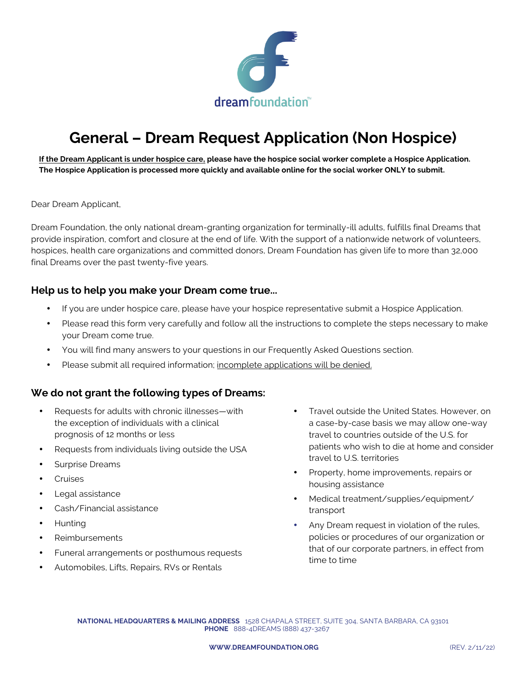

# **General – Dream Request Application (Non Hospice)**

**If the Dream Applicant is under hospice care, please have the hospice social worker complete a Hospice Application. The Hospice Application is processed more quickly and available online for the social worker ONLY to submit.**

Dear Dream Applicant,

Dream Foundation, the only national dream-granting organization for terminally-ill adults, fulfills final Dreams that provide inspiration, comfort and closure at the end of life. With the support of a nationwide network of volunteers, hospices, health care organizations and committed donors, Dream Foundation has given life to more than 32,000 final Dreams over the past twenty-five years.

#### **Help us to help you make your Dream come true...**

- If you are under hospice care, please have your hospice representative submit a Hospice Application.
- Please read this form very carefully and follow all the instructions to complete the steps necessary to make your Dream come true.
- You will find many answers to your questions in our Frequently Asked Questions section.
- Please submit all required information; incomplete applications will be denied.

#### **We do not grant the following types of Dreams:**

- Requests for adults with chronic illnesses—with the exception of individuals with a clinical prognosis of 12 months or less
- Requests from individuals living outside the USA
- Surprise Dreams
- Cruises
- Legal assistance
- Cash/Financial assistance
- Hunting
- Reimbursements
- Funeral arrangements or posthumous requests
- Automobiles, Lifts, Repairs, RVs or Rentals
- Travel outside the United States. However, on a case-by-case basis we may allow one-way travel to countries outside of the U.S. for patients who wish to die at home and consider travel to U.S. territories
- Property, home improvements, repairs or housing assistance
- Medical treatment/supplies/equipment/ transport
- Any Dream request in violation of the rules, policies or procedures of our organization or that of our corporate partners, in effect from time to time

**NATIONAL HEADQUARTERS & MAILING ADDRESS** 1528 CHAPALA STREET, SUITE 304, SANTA BARBARA, CA 93101 **PHONE** 888-4DREAMS (888) 437-3267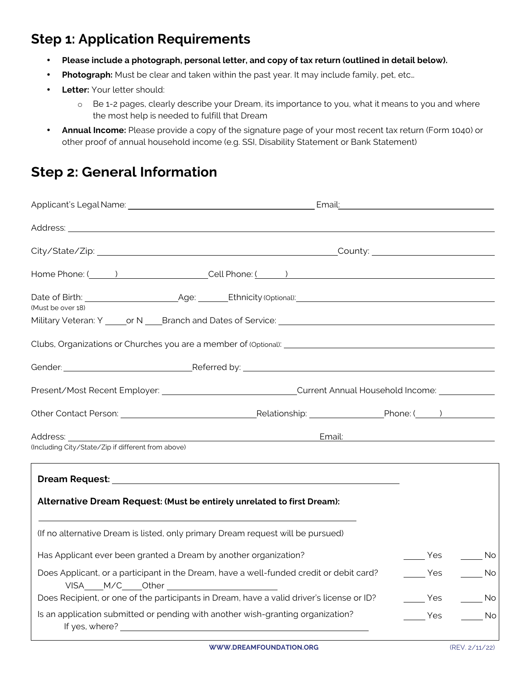# **Step 1: Application Requirements**

- **Please include a photograph, personal letter, and copy of tax return (outlined in detail below).**
- **Photograph:** Must be clear and taken within the past year. It may include family, pet, etc…
- **Letter:** Your letter should:
	- o Be 1-2 pages, clearly describe your Dream, its importance to you, what it means to you and where the most help is needed to fulfill that Dream
- **Annual Income:** Please provide a copy of the signature page of your most recent tax return (Form 1040) or other proof of annual household income (e.g. SSI, Disability Statement or Bank Statement)

# **Step 2: General Information**

|                                                                                 | Home Phone: ( a contract of the Cell Phone: ( a contract of the contract of the Phone: ( a contract of the Cell Phone: ( a contract of the contract of the contract of the contract of the contract of the contract of the con |                                    |
|---------------------------------------------------------------------------------|--------------------------------------------------------------------------------------------------------------------------------------------------------------------------------------------------------------------------------|------------------------------------|
| (Must be over 18)                                                               |                                                                                                                                                                                                                                |                                    |
|                                                                                 |                                                                                                                                                                                                                                |                                    |
|                                                                                 |                                                                                                                                                                                                                                |                                    |
|                                                                                 | Gender: <u>Communication of Referred by:</u> Communication of the Communication of the Referred by:                                                                                                                            |                                    |
|                                                                                 | Present/Most Recent Employer: _________________________________Current Annual Household Income: _____________                                                                                                                  |                                    |
|                                                                                 |                                                                                                                                                                                                                                |                                    |
|                                                                                 |                                                                                                                                                                                                                                |                                    |
| (Including City/State/Zip if different from above)                              |                                                                                                                                                                                                                                |                                    |
| Alternative Dream Request: (Must be entirely unrelated to first Dream):         |                                                                                                                                                                                                                                |                                    |
| (If no alternative Dream is listed, only primary Dream request will be pursued) |                                                                                                                                                                                                                                |                                    |
| Has Applicant ever been granted a Dream by another organization?                |                                                                                                                                                                                                                                | <b>No</b><br>Yes                   |
| VISA M/C __Other _______________________                                        | Does Applicant, or a participant in the Dream, have a well-funded credit or debit card?                                                                                                                                        | Yes<br>$\overline{\phantom{0}}$ No |
|                                                                                 | Does Recipient, or one of the participants in Dream, have a valid driver's license or ID?                                                                                                                                      | Yes<br>in No                       |
|                                                                                 | Is an application submitted or pending with another wish-granting organization?                                                                                                                                                | <b>Yes</b><br>in No                |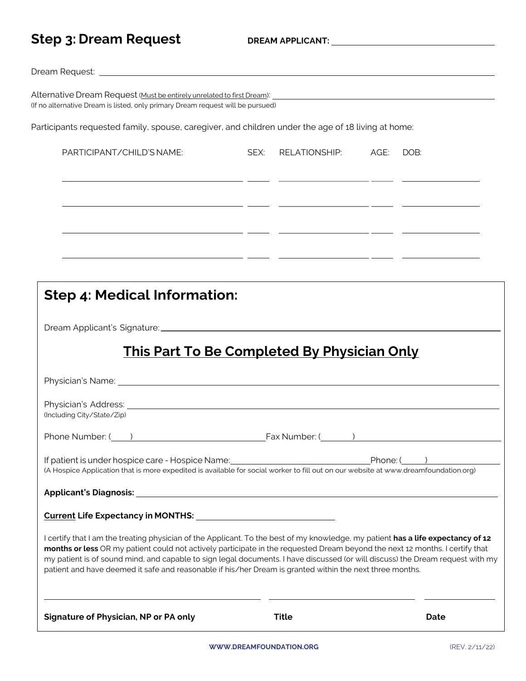|  |  |  | <b>Step 3: Dream Request</b> |
|--|--|--|------------------------------|
|--|--|--|------------------------------|

| (Including City/State/Zip)<br>Phone Number: ( ) The Contract Contract Contract Contract Contract Contract Contract Contract Contract Contract Contract Contract Contract Contract Contract Contract Contract Contract Contract Contract Contract Contract Co<br>If patient is under hospice care - Hospice Name: [19] [2012] [2012] [2012] [2012] [2012] [2012] [2012] [2012] [<br>(A Hospice Application that is more expedited is available for social worker to fill out on our website at www.dreamfoundation.org)<br>I certify that I am the treating physician of the Applicant. To the best of my knowledge, my patient has a life expectancy of 12<br>months or less OR my patient could not actively participate in the requested Dream beyond the next 12 months. I certify that<br>my patient is of sound mind, and capable to sign legal documents. I have discussed (or will discuss) the Dream request with my<br>patient and have deemed it safe and reasonable if his/her Dream is granted within the next three months. |      |                    | Phone: () |
|------------------------------------------------------------------------------------------------------------------------------------------------------------------------------------------------------------------------------------------------------------------------------------------------------------------------------------------------------------------------------------------------------------------------------------------------------------------------------------------------------------------------------------------------------------------------------------------------------------------------------------------------------------------------------------------------------------------------------------------------------------------------------------------------------------------------------------------------------------------------------------------------------------------------------------------------------------------------------------------------------------------------------------------|------|--------------------|-----------|
|                                                                                                                                                                                                                                                                                                                                                                                                                                                                                                                                                                                                                                                                                                                                                                                                                                                                                                                                                                                                                                          |      |                    |           |
|                                                                                                                                                                                                                                                                                                                                                                                                                                                                                                                                                                                                                                                                                                                                                                                                                                                                                                                                                                                                                                          |      |                    |           |
|                                                                                                                                                                                                                                                                                                                                                                                                                                                                                                                                                                                                                                                                                                                                                                                                                                                                                                                                                                                                                                          |      |                    |           |
|                                                                                                                                                                                                                                                                                                                                                                                                                                                                                                                                                                                                                                                                                                                                                                                                                                                                                                                                                                                                                                          |      |                    |           |
|                                                                                                                                                                                                                                                                                                                                                                                                                                                                                                                                                                                                                                                                                                                                                                                                                                                                                                                                                                                                                                          |      |                    |           |
|                                                                                                                                                                                                                                                                                                                                                                                                                                                                                                                                                                                                                                                                                                                                                                                                                                                                                                                                                                                                                                          |      |                    |           |
|                                                                                                                                                                                                                                                                                                                                                                                                                                                                                                                                                                                                                                                                                                                                                                                                                                                                                                                                                                                                                                          |      |                    |           |
| <b>This Part To Be Completed By Physician Only</b>                                                                                                                                                                                                                                                                                                                                                                                                                                                                                                                                                                                                                                                                                                                                                                                                                                                                                                                                                                                       |      |                    |           |
|                                                                                                                                                                                                                                                                                                                                                                                                                                                                                                                                                                                                                                                                                                                                                                                                                                                                                                                                                                                                                                          |      |                    |           |
|                                                                                                                                                                                                                                                                                                                                                                                                                                                                                                                                                                                                                                                                                                                                                                                                                                                                                                                                                                                                                                          |      |                    |           |
| <b>Step 4: Medical Information:</b>                                                                                                                                                                                                                                                                                                                                                                                                                                                                                                                                                                                                                                                                                                                                                                                                                                                                                                                                                                                                      |      |                    |           |
|                                                                                                                                                                                                                                                                                                                                                                                                                                                                                                                                                                                                                                                                                                                                                                                                                                                                                                                                                                                                                                          |      |                    |           |
| <u> 1990 - Andrea Aonaich, ann an Cathracha ann an Comhair ann an Cathracha ann an Cathracha ann an C</u>                                                                                                                                                                                                                                                                                                                                                                                                                                                                                                                                                                                                                                                                                                                                                                                                                                                                                                                                |      |                    |           |
| <u> 1999 - Jan James James, poet en angleški politik († 1908)</u>                                                                                                                                                                                                                                                                                                                                                                                                                                                                                                                                                                                                                                                                                                                                                                                                                                                                                                                                                                        |      |                    |           |
| <u> 1999 - Jacques Marian, política español (f. 1989).</u>                                                                                                                                                                                                                                                                                                                                                                                                                                                                                                                                                                                                                                                                                                                                                                                                                                                                                                                                                                               |      |                    |           |
| <u> 1989 - Andrea San Andrea Andrea Andrea Andrea Andrea Andrea Andrea Andrea Andrea Andrea Andrea Andrea Andrea </u>                                                                                                                                                                                                                                                                                                                                                                                                                                                                                                                                                                                                                                                                                                                                                                                                                                                                                                                    |      |                    |           |
| PARTICIPANT/CHILD'S NAME:                                                                                                                                                                                                                                                                                                                                                                                                                                                                                                                                                                                                                                                                                                                                                                                                                                                                                                                                                                                                                | SEX: | RELATIONSHIP: AGE: | DOB:      |
|                                                                                                                                                                                                                                                                                                                                                                                                                                                                                                                                                                                                                                                                                                                                                                                                                                                                                                                                                                                                                                          |      |                    |           |
| Participants requested family, spouse, caregiver, and children under the age of 18 living at home:                                                                                                                                                                                                                                                                                                                                                                                                                                                                                                                                                                                                                                                                                                                                                                                                                                                                                                                                       |      |                    |           |
| (If no alternative Dream is listed, only primary Dream request will be pursued)                                                                                                                                                                                                                                                                                                                                                                                                                                                                                                                                                                                                                                                                                                                                                                                                                                                                                                                                                          |      |                    |           |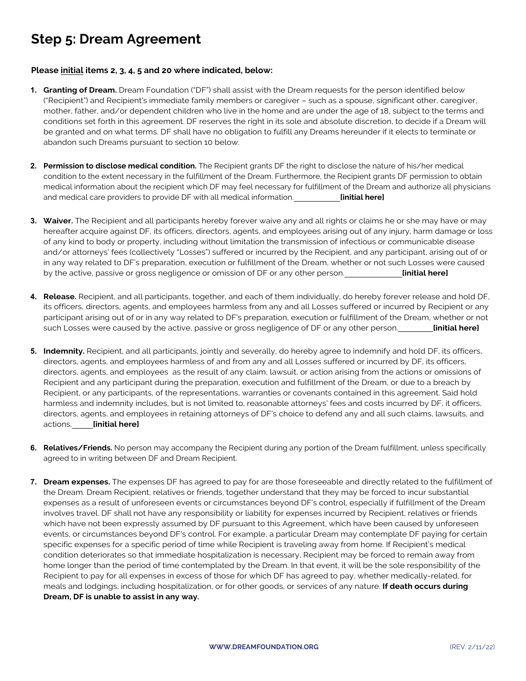# **Step 5: Dream Agreement**

#### **Please initial items 2, 3, 4, 5 and 20 where indicated, below:**

- **1. Granting of Dream.** Dream Foundation ("DF") shall assist with the Dream requests for the person identified below ("Recipient") and Recipient's immediate family members or caregiver – such as a spouse, significant other, caregiver, mother, father, and/or dependent children who live in the home and are under the age of 18, subject to the terms and conditions set forth in this agreement. DF reserves the right in its sole and absolute discretion, to decide if a Dream will be granted and on what terms. DF shall have no obligation to fulfill any Dreams hereunder if it elects to terminate or abandon such Dreams pursuant to section 10 below.
- **2. Permission to disclose medical condition.** The Recipient grants DF the right to disclose the nature of his/her medical condition to the extent necessary in the fulfillment of the Dream. Furthermore, the Recipient grants DF permission to obtain medical information about the recipient which DF may feel necessary for fulfillment of the Dream and authorize all physicians and medical care providers to provide DF with all medical information. **[initial here]**
- **3. Waiver.** The Recipient and all participants hereby forever waive any and all rights or claims he or she may have or may hereafter acquire against DF, its officers, directors, agents, and employees arising out of any injury, harm damage or loss of any kind to body or property, including without limitation the transmission of infectious or communicable disease and/or attorneys' fees (collectively "Losses") suffered or incurred by the Recipient, and any participant, arising out of or in any way related to DF's preparation, execution or fulfillment of the Dream, whether or not such Losses were caused by the active, passive or gross negligence or omission of DF or any other person. **[initial here]**
- **4. Release.** Recipient, and all participants, together, and each of them individually, do hereby forever release and hold DF, its officers, directors, agents, and employees harmless from any and all Losses suffered or incurred by Recipient or any participant arising out of or in any way related to DF's preparation, execution or fulfillment of the Dream, whether or not such Losses were caused by the active, passive or gross negligence of DF or any other person. **[initial here]**
- **5. Indemnity.** Recipient, and all participants, jointly and severally, do hereby agree to indemnify and hold DF, its officers, directors, agents, and employees harmless of and from any and all Losses suffered or incurred by DF, its officers, directors, agents, and employees as the result of any claim, lawsuit, or action arising from the actions or omissions of Recipient and any participant during the preparation, execution and fulfillment of the Dream, or due to a breach by Recipient, or any participants, of the representations, warranties or covenants contained in this agreement. Said hold harmless and indemnity includes, but is not limited to, reasonable attorneys' fees and costs incurred by DF, it officers, directors, agents, and employees in retaining attorneys of DF's choice to defend any and all such claims, lawsuits, and actions. **[initial here]**
- **6. Relatives/Friends.** No person may accompany the Recipient during any portion of the Dream fulfillment, unless specifically agreed to in writing between DF and Dream Recipient.
- **7. Dream expenses.** The expenses DF has agreed to pay for are those foreseeable and directly related to the fulfillment of the Dream. Dream Recipient, relatives or friends, together understand that they may be forced to incur substantial expenses as a result of unforeseen events or circumstances beyond DF's control, especially if fulfillment of the Dream involves travel. DF shall not have any responsibility or liability for expenses incurred by Recipient, relatives or friends which have not been expressly assumed by DF pursuant to this Agreement, which have been caused by unforeseen events, or circumstances beyond DF's control. For example, a particular Dream may contemplate DF paying for certain specific expenses for a specific period of time while Recipient is traveling away from home. If Recipient's medical condition deteriorates so that immediate hospitalization is necessary, Recipient may be forced to remain away from home longer than the period of time contemplated by the Dream. In that event, it will be the sole responsibility of the Recipient to pay for all expenses in excess of those for which DF has agreed to pay, whether medically-related, for meals and lodgings, including hospitalization, or for other goods, or services of any nature. **If death occurs during Dream, DF is unable to assist in any way.**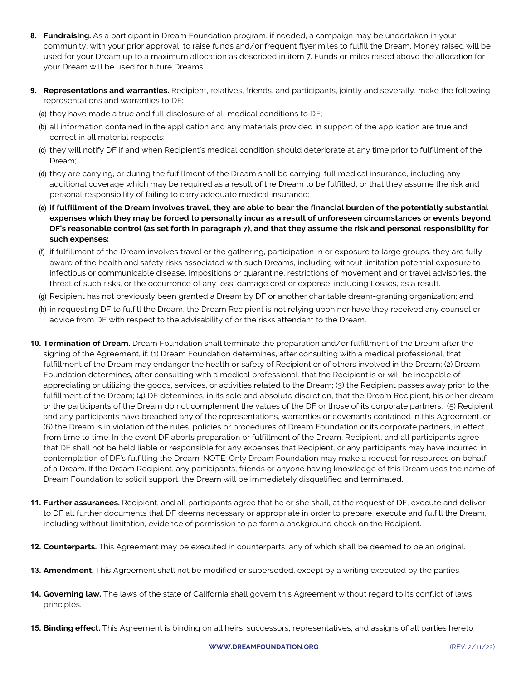- **8. Fundraising.** As a participant in Dream Foundation program, if needed, a campaign may be undertaken in your community, with your prior approval, to raise funds and/or frequent flyer miles to fulfill the Dream. Money raised will be used for your Dream up to a maximum allocation as described in item 7. Funds or miles raised above the allocation for your Dream will be used for future Dreams.
- **9. Representations and warranties.** Recipient, relatives, friends, and participants, jointly and severally, make the following representations and warranties to DF:
	- (a) they have made a true and full disclosure of all medical conditions to DF;
	- (b) all information contained in the application and any materials provided in support of the application are true and correct in all material respects;
	- (c) they will notify DF if and when Recipient's medical condition should deteriorate at any time prior to fulfillment of the Dream;
	- (d) they are carrying, or during the fulfillment of the Dream shall be carrying, full medical insurance, including any additional coverage which may be required as a result of the Dream to be fulfilled, or that they assume the risk and personal responsibility of failing to carry adequate medical insurance;
	- **(e) if fulfillment of the Dream involves travel, they are able to bear the financial burden of the potentially substantial expenses which they may be forced to personally incur as a result of unforeseen circumstances or events beyond DF's reasonable control (as set forth in paragraph 7), and that they assume the risk and personal responsibility for such expenses;**
	- (f) if fulfillment of the Dream involves travel or the gathering, participation In or exposure to large groups, they are fully aware of the health and safety risks associated with such Dreams, including without limitation potential exposure to infectious or communicable disease, impositions or quarantine, restrictions of movement and or travel advisories, the threat of such risks, or the occurrence of any loss, damage cost or expense, including Losses, as a result.
	- (g) Recipient has not previously been granted a Dream by DF or another charitable dream-granting organization; and
	- (h) in requesting DF to fulfill the Dream, the Dream Recipient is not relying upon nor have they received any counsel or advice from DF with respect to the advisability of or the risks attendant to the Dream.
- **10. Termination of Dream.** Dream Foundation shall terminate the preparation and/or fulfillment of the Dream after the signing of the Agreement, if: (1) Dream Foundation determines, after consulting with a medical professional, that fulfillment of the Dream may endanger the health or safety of Recipient or of others involved in the Dream; (2) Dream Foundation determines, after consulting with a medical professional, that the Recipient is or will be incapable of appreciating or utilizing the goods, services, or activities related to the Dream; (3) the Recipient passes away prior to the fulfillment of the Dream; (4) DF determines, in its sole and absolute discretion, that the Dream Recipient, his or her dream or the participants of the Dream do not complement the values of the DF or those of its corporate partners; (5) Recipient and any participants have breached any of the representations, warranties or covenants contained in this Agreement, or (6) the Dream is in violation of the rules, policies or procedures of Dream Foundation or its corporate partners, in effect from time to time. In the event DF aborts preparation or fulfillment of the Dream, Recipient, and all participants agree that DF shall not be held liable or responsible for any expenses that Recipient, or any participants may have incurred in contemplation of DF's fulfilling the Dream. NOTE: Only Dream Foundation may make a request for resources on behalf of a Dream. If the Dream Recipient, any participants, friends or anyone having knowledge of this Dream uses the name of Dream Foundation to solicit support, the Dream will be immediately disqualified and terminated.
- **11. Further assurances.** Recipient, and all participants agree that he or she shall, at the request of DF, execute and deliver to DF all further documents that DF deems necessary or appropriate in order to prepare, execute and fulfill the Dream, including without limitation, evidence of permission to perform a background check on the Recipient.
- **12. Counterparts.** This Agreement may be executed in counterparts, any of which shall be deemed to be an original.
- **13. Amendment.** This Agreement shall not be modified or superseded, except by a writing executed by the parties.
- **14. Governing law.** The laws of the state of California shall govern this Agreement without regard to its conflict of laws principles.
- **15. Binding effect.** This Agreement is binding on all heirs, successors, representatives, and assigns of all parties hereto.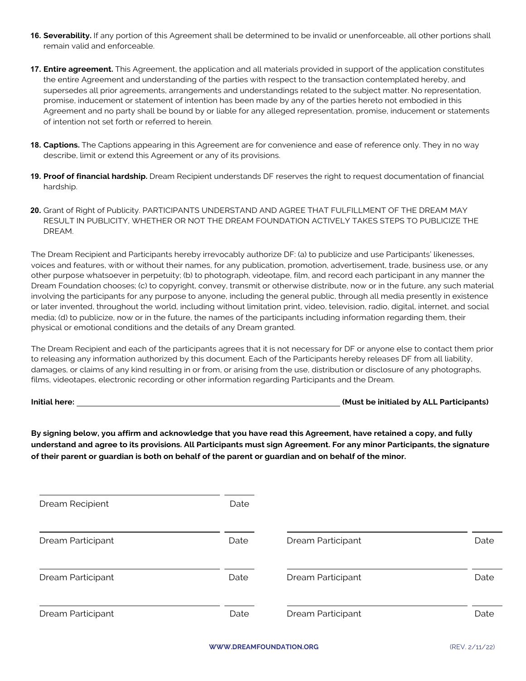- **16. Severability.** If any portion of this Agreement shall be determined to be invalid or unenforceable, all other portions shall remain valid and enforceable.
- **17. Entire agreement.** This Agreement, the application and all materials provided in support of the application constitutes the entire Agreement and understanding of the parties with respect to the transaction contemplated hereby, and supersedes all prior agreements, arrangements and understandings related to the subject matter. No representation, promise, inducement or statement of intention has been made by any of the parties hereto not embodied in this Agreement and no party shall be bound by or liable for any alleged representation, promise, inducement or statements of intention not set forth or referred to herein.
- **18. Captions.** The Captions appearing in this Agreement are for convenience and ease of reference only. They in no way describe, limit or extend this Agreement or any of its provisions.
- **19. Proof of financial hardship.** Dream Recipient understands DF reserves the right to request documentation of financial hardship.
- **20.** Grant of Right of Publicity. PARTICIPANTS UNDERSTAND AND AGREE THAT FULFILLMENT OF THE DREAM MAY RESULT IN PUBLICITY, WHETHER OR NOT THE DREAM FOUNDATION ACTIVELY TAKES STEPS TO PUBLICIZE THE DREAM.

The Dream Recipient and Participants hereby irrevocably authorize DF: (a) to publicize and use Participants' likenesses, voices and features, with or without their names, for any publication, promotion, advertisement, trade, business use, or any other purpose whatsoever in perpetuity; (b) to photograph, videotape, film, and record each participant in any manner the Dream Foundation chooses; (c) to copyright, convey, transmit or otherwise distribute, now or in the future, any such material involving the participants for any purpose to anyone, including the general public, through all media presently in existence or later invented, throughout the world, including without limitation print, video, television, radio, digital, internet, and social media; (d) to publicize, now or in the future, the names of the participants including information regarding them, their physical or emotional conditions and the details of any Dream granted.

The Dream Recipient and each of the participants agrees that it is not necessary for DF or anyone else to contact them prior to releasing any information authorized by this document. Each of the Participants hereby releases DF from all liability, damages, or claims of any kind resulting in or from, or arising from the use, distribution or disclosure of any photographs, films, videotapes, electronic recording or other information regarding Participants and the Dream.

**Initial here: (Must be initialed by ALL Participants)**

**By signing below, you affirm and acknowledge that you have read this Agreement, have retained a copy, and fully understand and agree to its provisions. All Participants must sign Agreement. For any minor Participants, the signature of their parent or guardian is both on behalf of the parent or guardian and on behalf of the minor.**

| Dream Recipient   | Date |                   |      |
|-------------------|------|-------------------|------|
| Dream Participant | Date | Dream Participant | Date |
| Dream Participant | Date | Dream Participant | Date |
| Dream Participant | Date | Dream Participant | Date |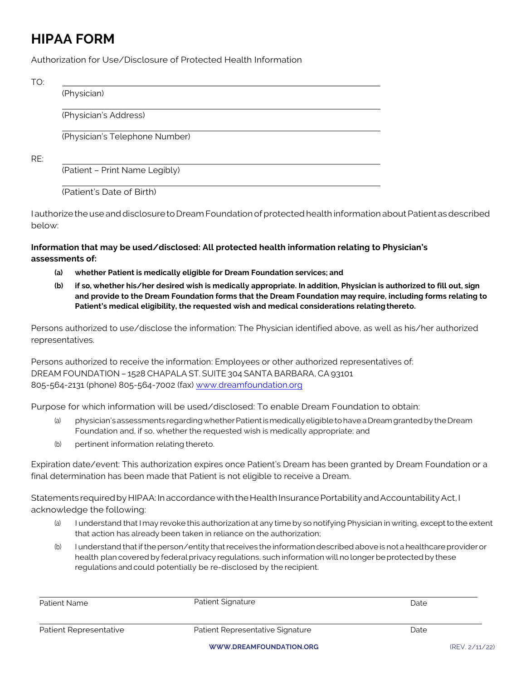# **HIPAA FORM**

Authorization for Use/Disclosure of Protected Health Information

TO:

(Physician)

(Physician's Address)

(Physician's Telephone Number)

RE:

(Patient – Print Name Legibly)

(Patient's Date of Birth)

I authorizetheuseanddisclosuretoDream Foundationofprotectedhealth information aboutPatientasdescribed below:

#### **Information that may be used/disclosed: All protected health information relating to Physician's assessments of:**

- **(a) whether Patient is medically eligible for Dream Foundation services; and**
- **(b) if so, whether his/her desired wish is medically appropriate. In addition, Physician is authorized to fill out, sign and provide to the Dream Foundation forms that the Dream Foundation may require, including forms relating to Patient's medical eligibility, the requested wish and medical considerations relatingthereto.**

Persons authorized to use/disclose the information: The Physician identified above, as well as his/her authorized representatives.

Persons authorized to receive the information: Employees or other authorized representatives of: DREAM FOUNDATION – 1528 CHAPALA ST. SUITE 304 SANTA BARBARA, CA 93101 805-564-2131 (phone) 805-564-7002 (fax) www.dreamfoundation.org

Purpose for which information will be used/disclosed: To enable Dream Foundation to obtain:

- (a) physician's assessments regarding whether Patient is medically eligible to have a Dream granted by the Dream Foundation and, if so, whether the requested wish is medically appropriate; and
- (b) pertinent information relating thereto.

Expiration date/event: This authorization expires once Patient's Dream has been granted by Dream Foundation or a final determination has been made that Patient is not eligible to receive a Dream.

Statements required by HIPAA: In accordance with the Health Insurance Portability and Accountability Act, I acknowledge the following:

- (a) I understand that Imay revoke this authorization at any time by so notifying Physician in writing, except to the extent that action has already been taken in reliance on the authorization;
- (b) I understand that if the person/entity that receives the information described above is not a healthcare provider or health plan covered by federal privacy regulations, such information will no longer be protected by these regulations and could potentially be re-disclosed by the recipient.

| Patient Name           | Patient Signature                | Date |
|------------------------|----------------------------------|------|
| Patient Representative | Patient Representative Signature | Date |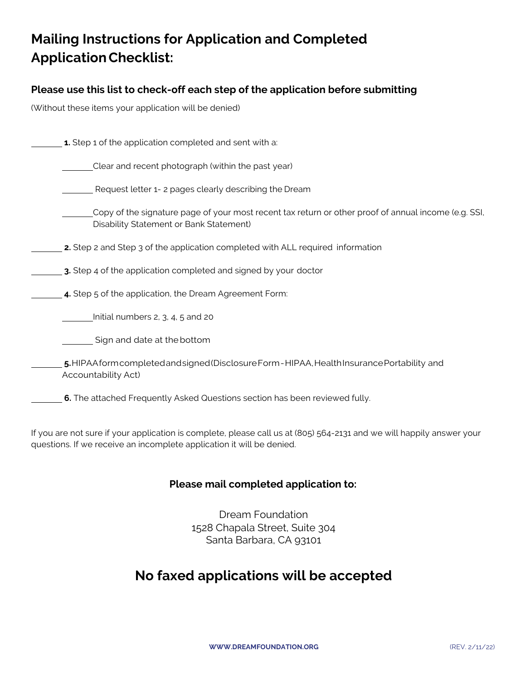# **Mailing Instructions for Application and Completed ApplicationChecklist:**

## **Please use this list to check-off each step of the application before submitting**

(Without these items your application will be denied)

| 1. Step 1 of the application completed and sent with a:                                                                                         |
|-------------------------------------------------------------------------------------------------------------------------------------------------|
| Clear and recent photograph (within the past year)                                                                                              |
| Request letter 1-2 pages clearly describing the Dream                                                                                           |
| Copy of the signature page of your most recent tax return or other proof of annual income (e.g. SSI,<br>Disability Statement or Bank Statement) |
| <b>2.</b> Step 2 and Step 3 of the application completed with ALL required information                                                          |
| 3. Step 4 of the application completed and signed by your doctor                                                                                |
| 4. Step 5 of the application, the Dream Agreement Form:                                                                                         |
| Initial numbers 2, 3, 4, 5 and 20                                                                                                               |
| Sign and date at the bottom                                                                                                                     |
| 5. HIPAA form completed and signed (Disclosure Form - HIPAA, Health Insurance Portability and<br>Accountability Act)                            |
| 6. The attached Frequently Asked Questions section has been reviewed fully.                                                                     |

If you are not sure if your application is complete, please call us at (805) 564-2131 and we will happily answer your questions. If we receive an incomplete application it will be denied.

#### **Please mail completed application to:**

Dream Foundation 1528 Chapala Street, Suite 304 Santa Barbara, CA 93101

## **No faxed applications will be accepted**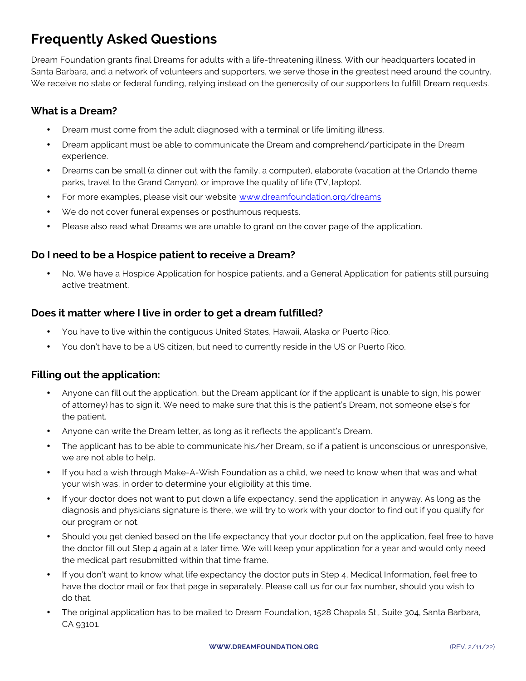# **Frequently Asked Questions**

Dream Foundation grants final Dreams for adults with a life-threatening illness. With our headquarters located in Santa Barbara, and a network of volunteers and supporters, we serve those in the greatest need around the country. We receive no state or federal funding, relying instead on the generosity of our supporters to fulfill Dream requests.

## **What is a Dream?**

- Dream must come from the adult diagnosed with a terminal or life limiting illness.
- Dream applicant must be able to communicate the Dream and comprehend/participate in the Dream experience.
- Dreams can be small (a dinner out with the family, a computer), elaborate (vacation at the Orlando theme parks, travel to the Grand Canyon), or improve the quality of life (TV, laptop).
- For more examples, please visit our website www.dreamfoundation.org/dreams
- We do not cover funeral expenses or posthumous requests.
- Please also read what Dreams we are unable to grant on the cover page of the application.

### **Do I need to be a Hospice patient to receive a Dream?**

• No. We have a Hospice Application for hospice patients, and a General Application for patients still pursuing active treatment.

#### **Does it matter where I live in order to get a dream fulfilled?**

- You have to live within the contiguous United States, Hawaii, Alaska or Puerto Rico.
- You don't have to be a US citizen, but need to currently reside in the US or Puerto Rico.

#### **Filling out the application:**

- Anyone can fill out the application, but the Dream applicant (or if the applicant is unable to sign, his power of attorney) has to sign it. We need to make sure that this is the patient's Dream, not someone else's for the patient.
- Anyone can write the Dream letter, as long as it reflects the applicant's Dream.
- The applicant has to be able to communicate his/her Dream, so if a patient is unconscious or unresponsive, we are not able to help.
- If you had a wish through Make-A-Wish Foundation as a child, we need to know when that was and what your wish was, in order to determine your eligibility at this time.
- If your doctor does not want to put down a life expectancy, send the application in anyway. As long as the diagnosis and physicians signature is there, we will try to work with your doctor to find out if you qualify for our program or not.
- Should you get denied based on the life expectancy that your doctor put on the application, feel free to have the doctor fill out Step 4 again at a later time. We will keep your application for a year and would only need the medical part resubmitted within that time frame.
- If you don't want to know what life expectancy the doctor puts in Step 4, Medical Information, feel free to have the doctor mail or fax that page in separately. Please call us for our fax number, should you wish to do that.
- The original application has to be mailed to Dream Foundation, 1528 Chapala St., Suite 304, Santa Barbara, CA 93101.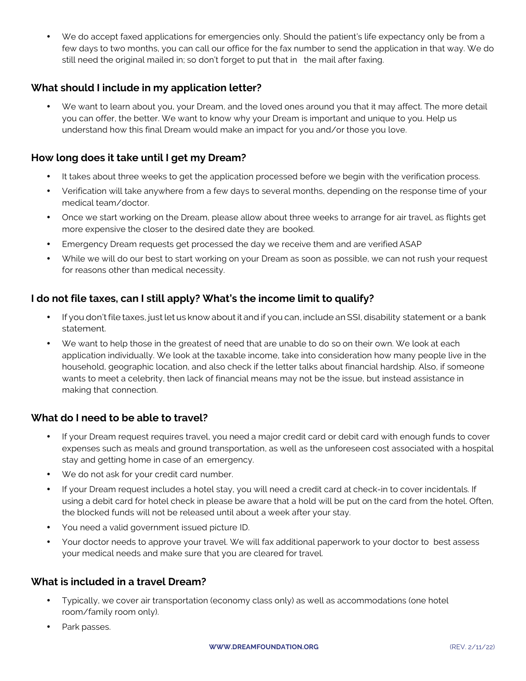• We do accept faxed applications for emergencies only. Should the patient's life expectancy only be from a few days to two months, you can call our office for the fax number to send the application in that way. We do still need the original mailed in; so don't forget to put that in the mail after faxing.

## **What should I include in my application letter?**

• We want to learn about you, your Dream, and the loved ones around you that it may affect. The more detail you can offer, the better. We want to know why your Dream is important and unique to you. Help us understand how this final Dream would make an impact for you and/or those you love.

## **How long does it take until I get my Dream?**

- It takes about three weeks to get the application processed before we begin with the verification process.
- Verification will take anywhere from a few days to several months, depending on the response time of your medical team/doctor.
- Once we start working on the Dream, please allow about three weeks to arrange for air travel, as flights get more expensive the closer to the desired date they are booked.
- Emergency Dream requests get processed the day we receive them and are verified ASAP
- While we will do our best to start working on your Dream as soon as possible, we can not rush your request for reasons other than medical necessity.

### **I do not file taxes, can I still apply? What's the income limit to qualify?**

- If you don't file taxes, just let us know about it and if you can, include an SSI, disability statement or a bank statement.
- We want to help those in the greatest of need that are unable to do so on their own. We look at each application individually. We look at the taxable income, take into consideration how many people live in the household, geographic location, and also check if the letter talks about financial hardship. Also, if someone wants to meet a celebrity, then lack of financial means may not be the issue, but instead assistance in making that connection.

#### **What do I need to be able to travel?**

- If your Dream request requires travel, you need a major credit card or debit card with enough funds to cover expenses such as meals and ground transportation, as well as the unforeseen cost associated with a hospital stay and getting home in case of an emergency.
- We do not ask for your credit card number.
- If your Dream request includes a hotel stay, you will need a credit card at check-in to cover incidentals. If using a debit card for hotel check in please be aware that a hold will be put on the card from the hotel. Often, the blocked funds will not be released until about a week after your stay.
- You need a valid government issued picture ID.
- Your doctor needs to approve your travel. We will fax additional paperwork to your doctor to best assess your medical needs and make sure that you are cleared for travel.

#### **What is included in a travel Dream?**

- Typically, we cover air transportation (economy class only) as well as accommodations (one hotel room/family room only).
- Park passes.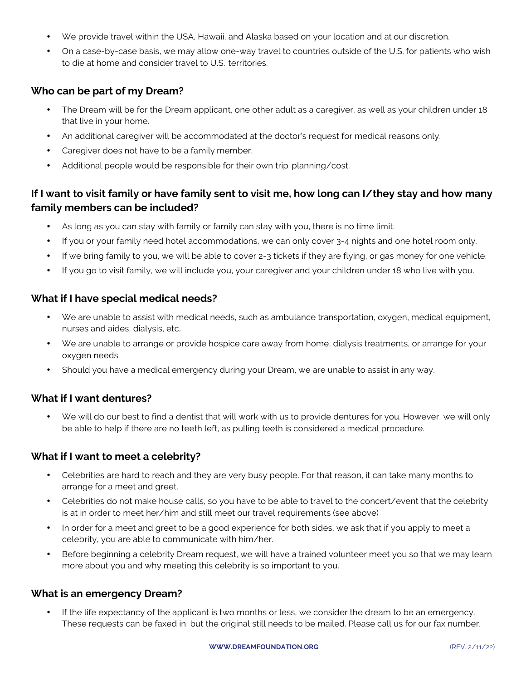- We provide travel within the USA, Hawaii, and Alaska based on your location and at our discretion.
- On a case-by-case basis, we may allow one-way travel to countries outside of the U.S. for patients who wish to die at home and consider travel to U.S. territories.

#### **Who can be part of my Dream?**

- The Dream will be for the Dream applicant, one other adult as a caregiver, as well as your children under 18 that live in your home.
- An additional caregiver will be accommodated at the doctor's request for medical reasons only.
- Caregiver does not have to be a family member.
- Additional people would be responsible for their own trip planning/cost.

## **If I want to visit family or have family sent to visit me, how long can I/they stay and how many family members can be included?**

- As long as you can stay with family or family can stay with you, there is no time limit.
- If you or your family need hotel accommodations, we can only cover 3-4 nights and one hotel room only.
- If we bring family to you, we will be able to cover 2-3 tickets if they are flying, or gas money for one vehicle.
- If you go to visit family, we will include you, your caregiver and your children under 18 who live with you.

#### **What if I have special medical needs?**

- We are unable to assist with medical needs, such as ambulance transportation, oxygen, medical equipment, nurses and aides, dialysis, etc…
- We are unable to arrange or provide hospice care away from home, dialysis treatments, or arrange for your oxygen needs.
- Should you have a medical emergency during your Dream, we are unable to assist in any way.

#### **What if I want dentures?**

• We will do our best to find a dentist that will work with us to provide dentures for you. However, we will only be able to help if there are no teeth left, as pulling teeth is considered a medical procedure.

#### **What if I want to meet a celebrity?**

- Celebrities are hard to reach and they are very busy people. For that reason, it can take many months to arrange for a meet and greet.
- Celebrities do not make house calls, so you have to be able to travel to the concert/event that the celebrity is at in order to meet her/him and still meet our travel requirements (see above)
- In order for a meet and greet to be a good experience for both sides, we ask that if you apply to meet a celebrity, you are able to communicate with him/her.
- Before beginning a celebrity Dream request, we will have a trained volunteer meet you so that we may learn more about you and why meeting this celebrity is so important to you.

#### **What is an emergency Dream?**

If the life expectancy of the applicant is two months or less, we consider the dream to be an emergency. These requests can be faxed in, but the original still needs to be mailed. Please call us for our fax number.